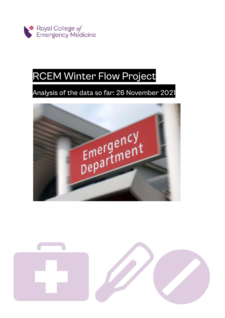

# RCEM Winter Flow Project

# Analysis of the data so far: 26 November 2021



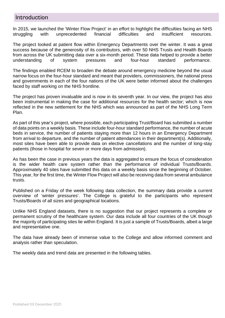#### **Introduction**

In 2015, we launched the 'Winter Flow Project' in an effort to highlight the difficulties facing an NHS struggling with unprecedented financial difficulties and insufficient resources.

The project looked at patient flow within Emergency Departments over the winter. It was a great success because of the generosity of its contributors, with over 50 NHS Trusts and Health Boards from across the UK submitting data over a six-month period. These data helped to provide a better understanding of system pressures and four-hour standard performance.

The findings enabled RCEM to broaden the debate around emergency medicine beyond the usual narrow focus on the four-hour standard and meant that providers, commissioners, the national press and governments in each of the four nations of the UK were better informed about the challenges faced by staff working on the NHS frontline.

The project has proven invaluable and is now in its seventh year. In our view, the project has also been instrumental in making the case for additional resources for the health sector; which is now reflected in the new settlement for the NHS which was announced as part of the NHS Long Term Plan.

As part of this year's project, where possible, each participating Trust/Board has submitted a number of data points on a weekly basis. These include four-hour standard performance, the number of acute beds in service, the number of patients staying more than 12 hours in an Emergency Department from arrival to departure, and the number of patient attendances in their department(s). Additionally, most sites have been able to provide data on elective cancellations and the number of long-stay patients (those in hospital for seven or more days from admission).

As has been the case in previous years the data is aggregated to ensure the focus of consideration is the wider health care system rather than the performance of individual Trusts/Boards. Approximately 40 sites have submitted this data on a weekly basis since the beginning of October. This year, for the first time, the Winter Flow Project will also be receiving data from several ambulance trusts.

Published on a Friday of the week following data collection, the summary data provide a current overview of 'winter pressures'. The College is grateful to the participants who represent Trusts/Boards of all sizes and geographical locations.

Unlike NHS England datasets, there is no suggestion that our project represents a complete or permanent scrutiny of the healthcare system. Our data include all four countries of the UK though the majority of participating sites lie within England. It is just a sample of Trusts/Boards, albeit a large and representative one.

The data have already been of immense value to the College and allow informed comment and analysis rather than speculation.

The weekly data and trend data are presented in the following tables.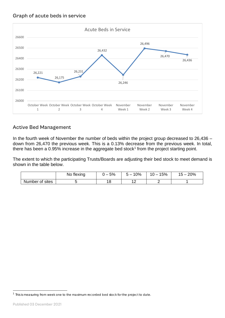

## Active Bed Management

In the fourth week of November the number of beds within the project group decreased to 26,436 – down from 26,470 the previous week. This is a 0.13% decrease from the previous week. In total, there has been a 0.95% increase in the aggregate bed stock<sup>1</sup> from the project starting point.

The extent to which the participating Trusts/Boards are adjusting their bed stock to meet demand is shown in the table below.

|                 | No flexing | 5%     | 10%<br>∽ — | 5% | 20%<br>  5 |
|-----------------|------------|--------|------------|----|------------|
| Number of sites |            | C<br>c | $\sim$     |    |            |

<span id="page-2-0"></span><sup>&</sup>lt;sup>1</sup> This is measuring from week one to the maximum recorded bed stock for the project to date.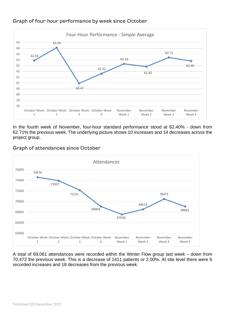

#### Graph of four-hour performance by week since October

In the fourth week of November, four-hour standard performance stood at 62.40% - down from 62.71% the previous week. The underlying picture shows 10 increases and 14 decreases across the project group.



#### Graph of attendances since October

A total of 69,061 attendances were recorded within the Winter Flow group last week – down from 70,472 the previous week. This is a decrease of 1411 patients or 2.00%. At site level there were 6 recorded increases and 18 decreases from the previous week.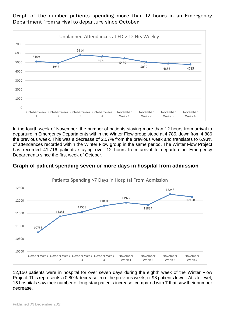5109 4953 5814 5671 5459 <sup>5039</sup> <sup>4886</sup> <sup>4785</sup>  $\Omega$ 1000 2000 3000 4000 5000 6000 7000 October Week October Week October Week October Week 1 2 3 4 November Week 1 November Week 2 November Week 3 November Week 4 Unplanned Attendances at ED > 12 Hrs Weekly

Graph of the number patients spending more than 12 hours in an Emergency Department from arrival to departure since October

In the fourth week of November, the number of patients staying more than 12 hours from arrival to departure in Emergency Departments within the Winter Flow group stood at 4,785, down from 4,886 the previous week. This was a decrease of 2.07% from the previous week and translates to 6.93% of attendances recorded within the Winter Flow group in the same period. The Winter Flow Project has recorded 41,716 patients staying over 12 hours from arrival to departure in Emergency Departments since the first week of October.

#### **Graph of patient spending seven or more days in hospital from admission**



12,150 patients were in hospital for over seven days during the eighth week of the Winter Flow Project. This represents a 0.80% decrease from the previous week, or 98 patients fewer. At site level, 15 hospitals saw their number of long-stay patients increase, compared with 7 that saw their number decrease.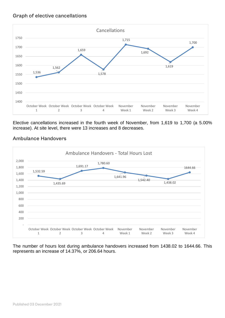#### Graph of elective cancellations



Elective cancellations increased in the fourth week of November, from 1,619 to 1,700 (a 5.00% increase). At site level, there were 13 increases and 8 decreases.



#### Ambulance Handovers

The number of hours lost during ambulance handovers increased from 1438.02 to 1644.66. This represents an increase of 14.37%, or 206.64 hours.